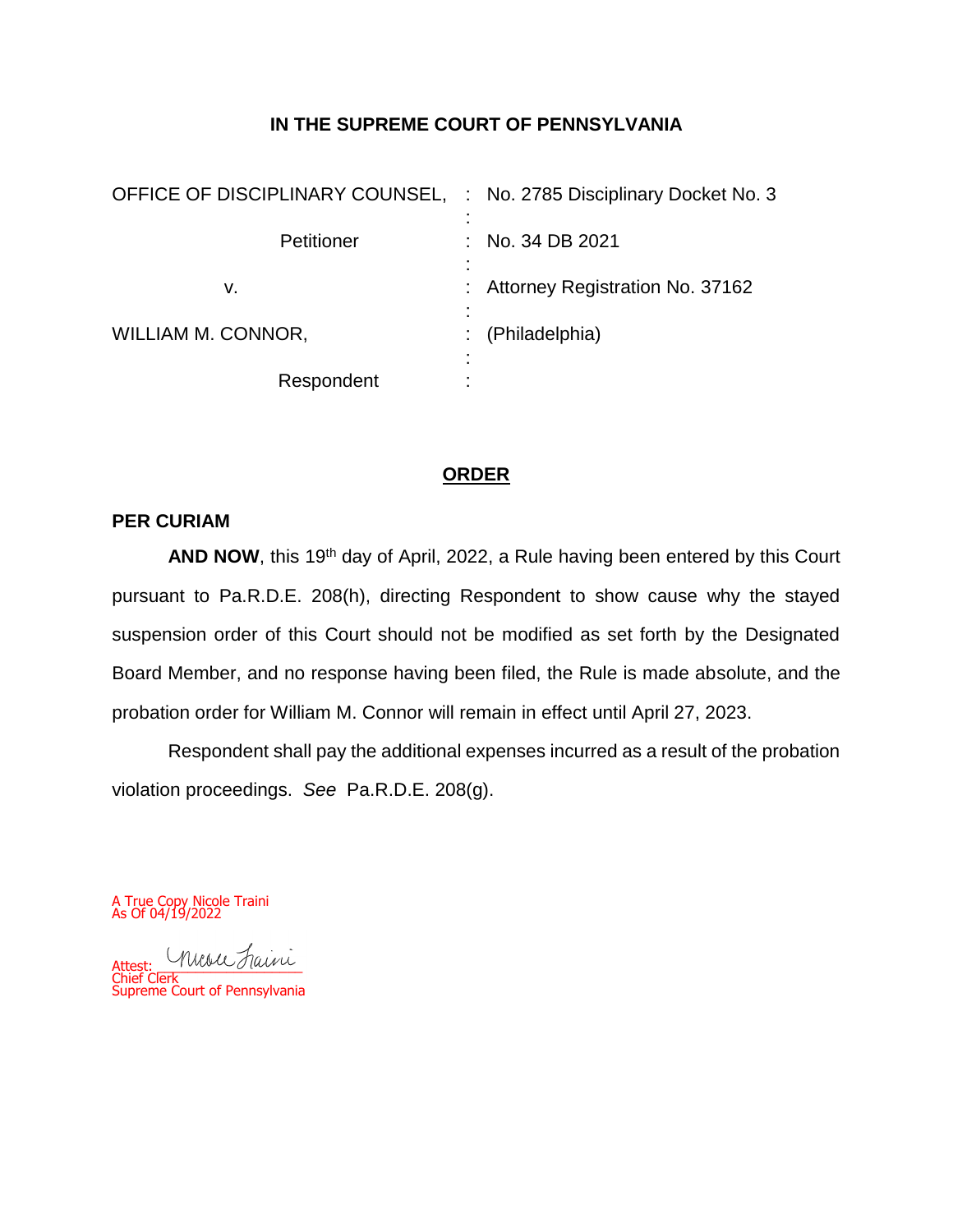#### **IN THE SUPREME COURT OF PENNSYLVANIA**

| OFFICE OF DISCIPLINARY COUNSEL, : No. 2785 Disciplinary Docket No. 3 |                                   |
|----------------------------------------------------------------------|-----------------------------------|
| Petitioner                                                           | No. 34 DB 2021                    |
| v.                                                                   | : Attorney Registration No. 37162 |
| WILLIAM M. CONNOR,                                                   | (Philadelphia)                    |
| Respondent                                                           |                                   |

## **ORDER**

#### **PER CURIAM**

AND NOW, this 19<sup>th</sup> day of April, 2022, a Rule having been entered by this Court pursuant to Pa.R.D.E. 208(h), directing Respondent to show cause why the stayed suspension order of this Court should not be modified as set forth by the Designated Board Member, and no response having been filed, the Rule is made absolute, and the probation order for William M. Connor will remain in effect until April 27, 2023.

Respondent shall pay the additional expenses incurred as a result of the probation violation proceedings. *See* Pa.R.D.E. 208(g).

A True Copy Nicole Traini As Of 04/19/2022

Attest: \_\_\_\_\_\_\_\_\_\_\_\_\_\_\_\_\_\_\_ Chief Clerk Supreme Court of Pennsylvania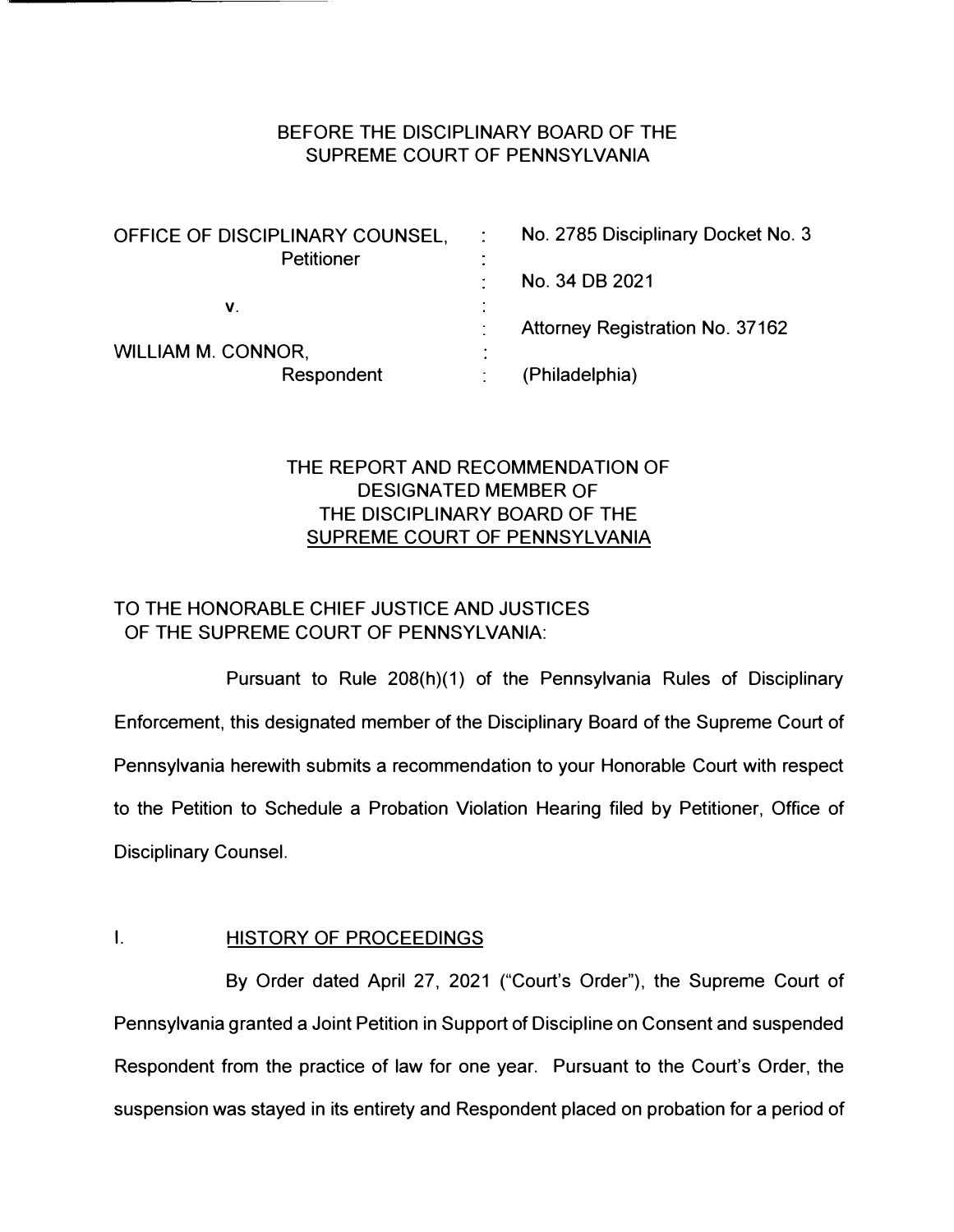## BEFORE THE DISCIPLINARY BOARD OF THE SUPREME COURT OF PENNSYLVANIA

| No. 2785 Disciplinary Docket No. 3 |
|------------------------------------|
|                                    |
| No. 34 DB 2021                     |
|                                    |
| Attorney Registration No. 37162    |
|                                    |
| (Philadelphia)                     |
|                                    |

# THE REPORT AND RECOMMENDATION OF DESIGNATED MEMBER OF THE DISCIPLINARY BOARD OF THE SUPREME COURT OF PENNSYLVANIA

# TO THE HONORABLE CHIEF JUSTICE AND JUSTICES OF THE SUPREME COURT OF PENNSYLVANIA:

Pursuant to Rule 208(h)(1) of the Pennsylvania Rules of Disciplinary Enforcement, this designated member of the Disciplinary Board of the Supreme Court of Pennsylvania herewith submits a recommendation to your Honorable Court with respect to the Petition to Schedule a Probation Violation Hearing filed by Petitioner, Office of Disciplinary Counsel.

## **I.** HISTORY OF PROCEEDINGS

By Order dated April 27, 2021 ("Court's Order"), the Supreme Court of Pennsylvania granted a Joint Petition in Support of Discipline on Consent and suspended Respondent from the practice of law for one year. Pursuant to the Court's Order, the suspension was stayed in its entirety and Respondent placed on probation for a period of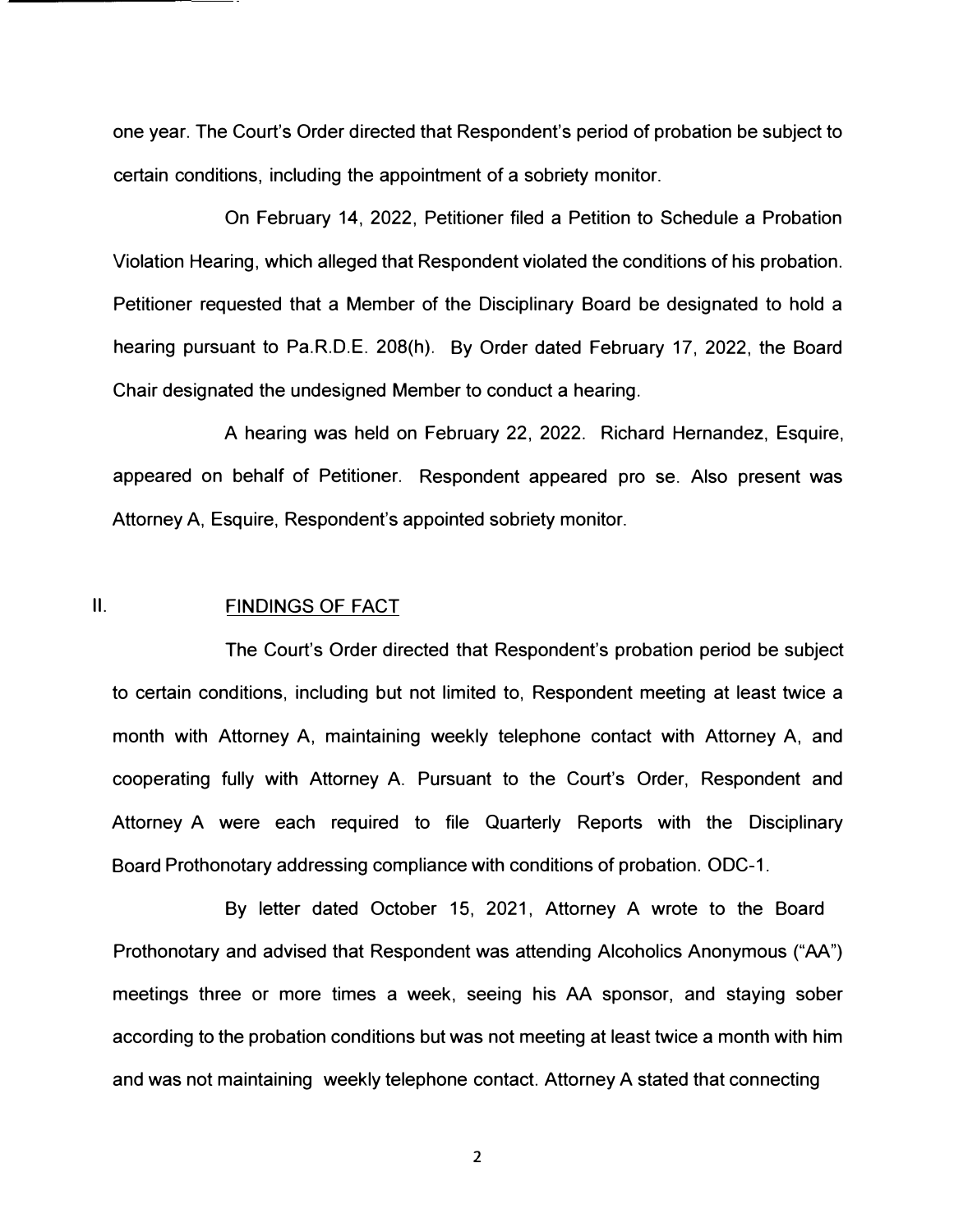one year. The Court's Order directed that Respondent's period of probation be subject to certain conditions, including the appointment of a sobriety monitor.

On February 14, 2022, Petitioner filed a Petition to Schedule a Probation Violation Hearing, which alleged that Respondent violated the conditions of his probation. Petitioner requested that a Member of the Disciplinary Board be designated to hold a hearing pursuant to Pa.R.D.E. 208(h). By Order dated February 17, 2022, the Board Chair designated the undesigned Member to conduct a hearing.

A hearing was held on February 22, 2022. Richard Hernandez, Esquire, appeared on behalf of Petitioner. Respondent appeared pro se. Also present was Attorney A, Esquire, Respondent's appointed sobriety monitor.

#### 11. FINDINGS OF FACT

The Court's Order directed that Respondent's probation period be subject to certain conditions, including but not limited to, Respondent meeting at least twice a month with Attorney A, maintaining weekly telephone contact with Attorney A, and cooperating fully with Attorney A. Pursuant to the Court's Order, Respondent and Attorney A were each required to file Quarterly Reports with the Disciplinary Board Prothonotary addressing compliance with conditions of probation. ODC-1.

By letter dated October 15, 2021, Attorney A wrote to the Board Prothonotary and advised that Respondent was attending Alcoholics Anonymous ("AA") meetings three or more times a week, seeing his AA sponsor, and staying sober according to the probation conditions but was not meeting at least twice a month with him and was not maintaining weekly telephone contact. Attorney A stated that connecting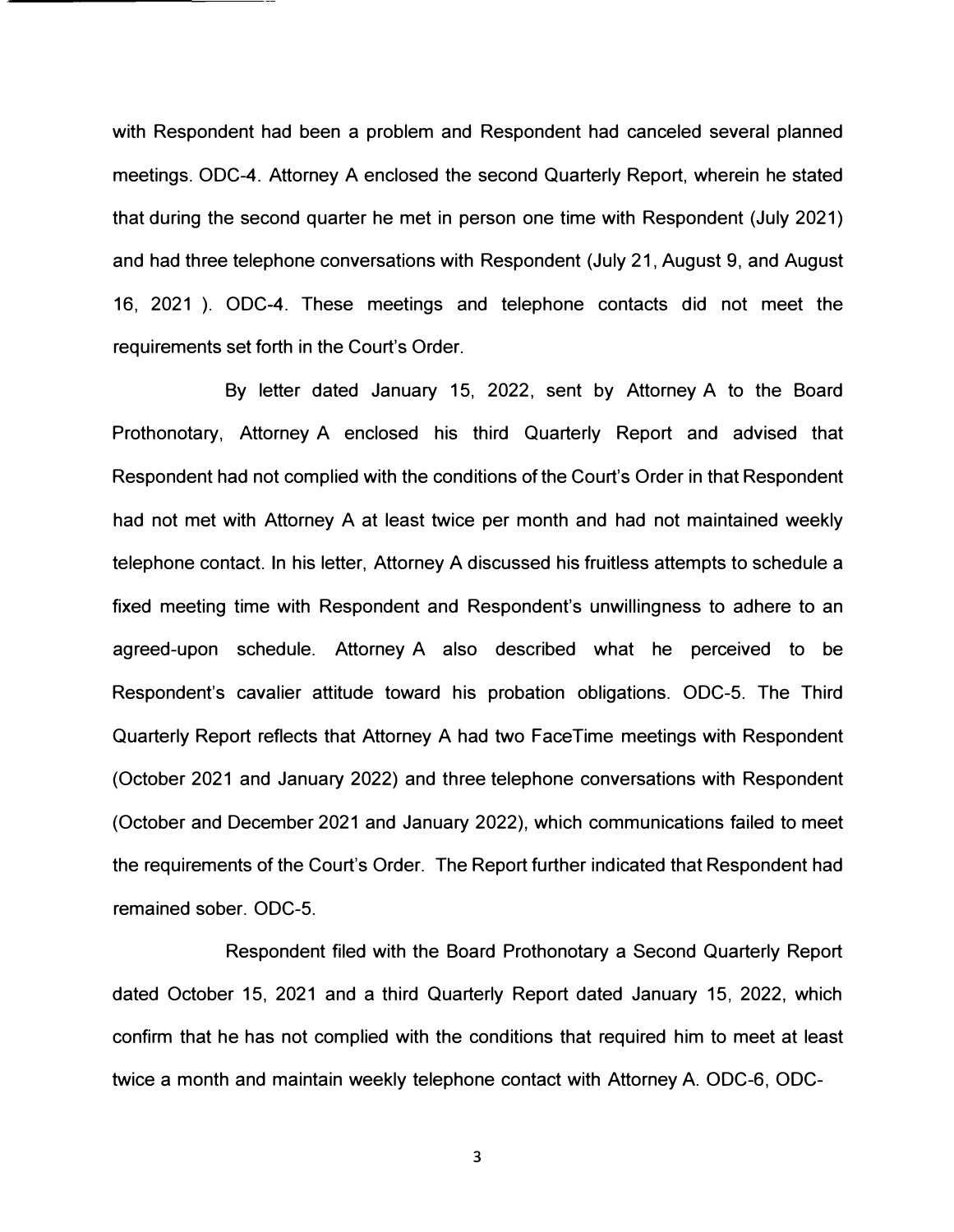with Respondent had been a problem and Respondent had canceled several planned meetings. ODC-4. Attorney A enclosed the second Quarterly Report, wherein he stated that during the second quarter he met in person one time with Respondent (July 2021) and had three telephone conversations with Respondent (July 21, August 9, and August 16, 2021 ). ODC-4. These meetings and telephone contacts did not meet the requirements set forth in the Court's Order.

By letter dated January 15, 2022, sent by Attorney A to the Board Prothonotary, Attorney A enclosed his third Quarterly Report and advised that Respondent had not complied with the conditions of the Court's Order in that Respondent had not met with Attorney A at least twice per month and had not maintained weekly telephone contact. In his letter, Attorney A discussed his fruitless attempts to schedule a fixed meeting time with Respondent and Respondent's unwillingness to adhere to an agreed-upon schedule. Attorney A also described what he perceived to be Respondent's cavalier attitude toward his probation obligations. ODC-5. The Third Quarterly Report reflects that Attorney A had two FaceTime meetings with Respondent (October 2021 and January 2022) and three telephone conversations with Respondent (October and December 2021 and January 2022), which communications failed to meet the requirements of the Court's Order. The Report further indicated that Respondent had remained sober. ODC-5.

Respondent filed with the Board Prothonotary a Second Quarterly Report dated October 15, 2021 and a third Quarterly Report dated January 15, 2022, which confirm that he has not complied with the conditions that required him to meet at least twice a month and maintain weekly telephone contact with Attorney A. ODC-6, ODC-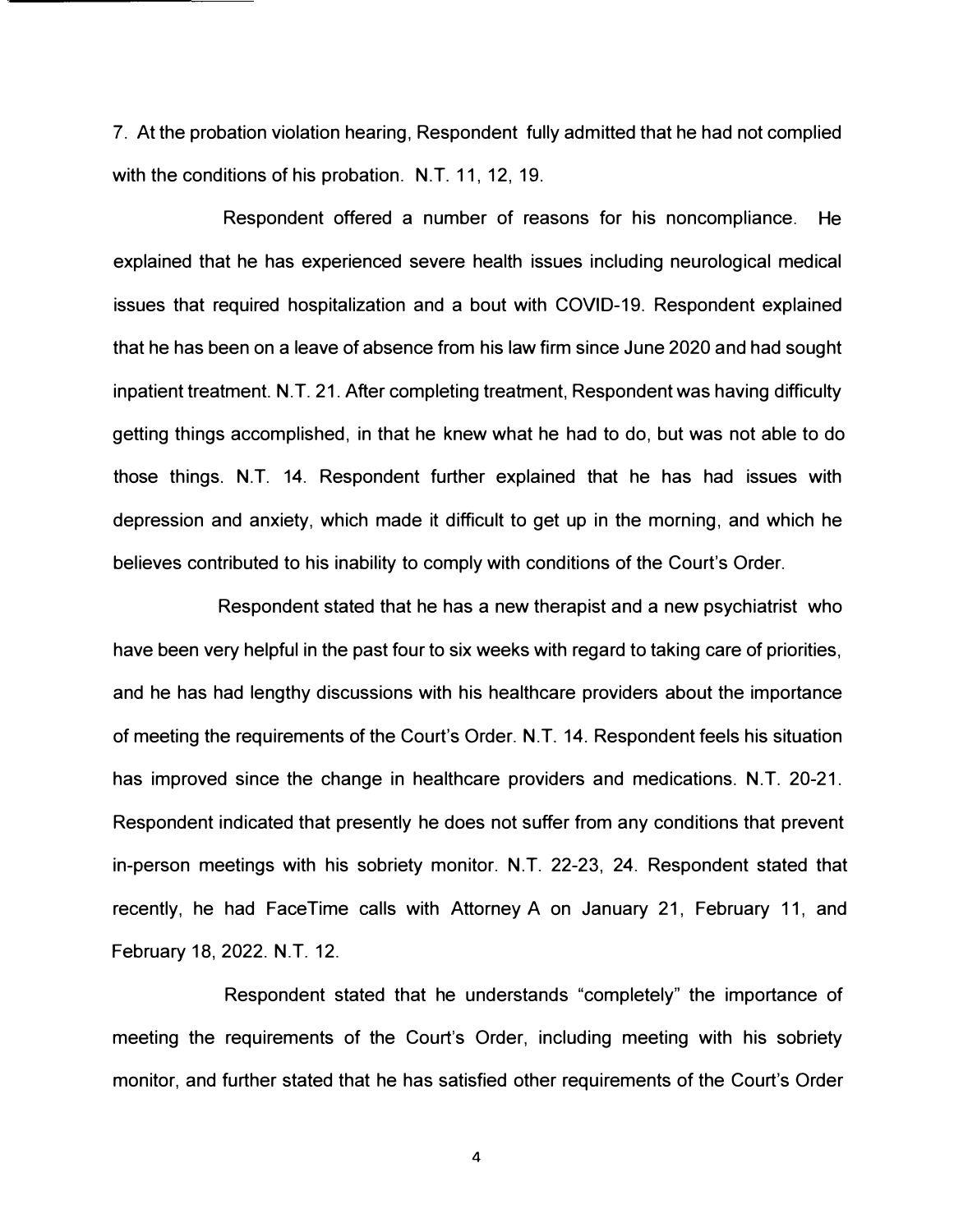7. At the probation violation hearing, Respondent fully admitted that he had not complied with the conditions of his probation. N.T. 11, 12, 19.

Respondent offered a number of reasons for his noncompliance. He explained that he has experienced severe health issues including neurological medical issues that required hospitalization and a bout with COVID-19. Respondent explained that he has been on a leave of absence from his law firm since June 2020 and had sought inpatient treatment. N.T. 21. After completing treatment, Respondent was having difficulty getting things accomplished, in that he knew what he had to do, but was not able to do those things. N.T. 14. Respondent further explained that he has had issues with depression and anxiety, which made it difficult to get up in the morning, and which he believes contributed to his inability to comply with conditions of the Court's Order.

Respondent stated that he has a new therapist and a new psychiatrist who have been very helpful in the past four to six weeks with regard to taking care of priorities, and he has had lengthy discussions with his healthcare providers about the importance of meeting the requirements of the Court's Order. N.T. 14. Respondent feels his situation has improved since the change in healthcare providers and medications. N.T. 20-21. Respondent indicated that presently he does not suffer from any conditions that prevent in-person meetings with his sobriety monitor. N.T. 22-23, 24. Respondent stated that recently, he had FaceTime calls with Attorney A on January 21, February 11, and February 18, 2022. N.T. 12.

Respondent stated that he understands "completely" the importance of meeting the requirements of the Court's Order, including meeting with his sobriety monitor, and further stated that he has satisfied other requirements of the Court's Order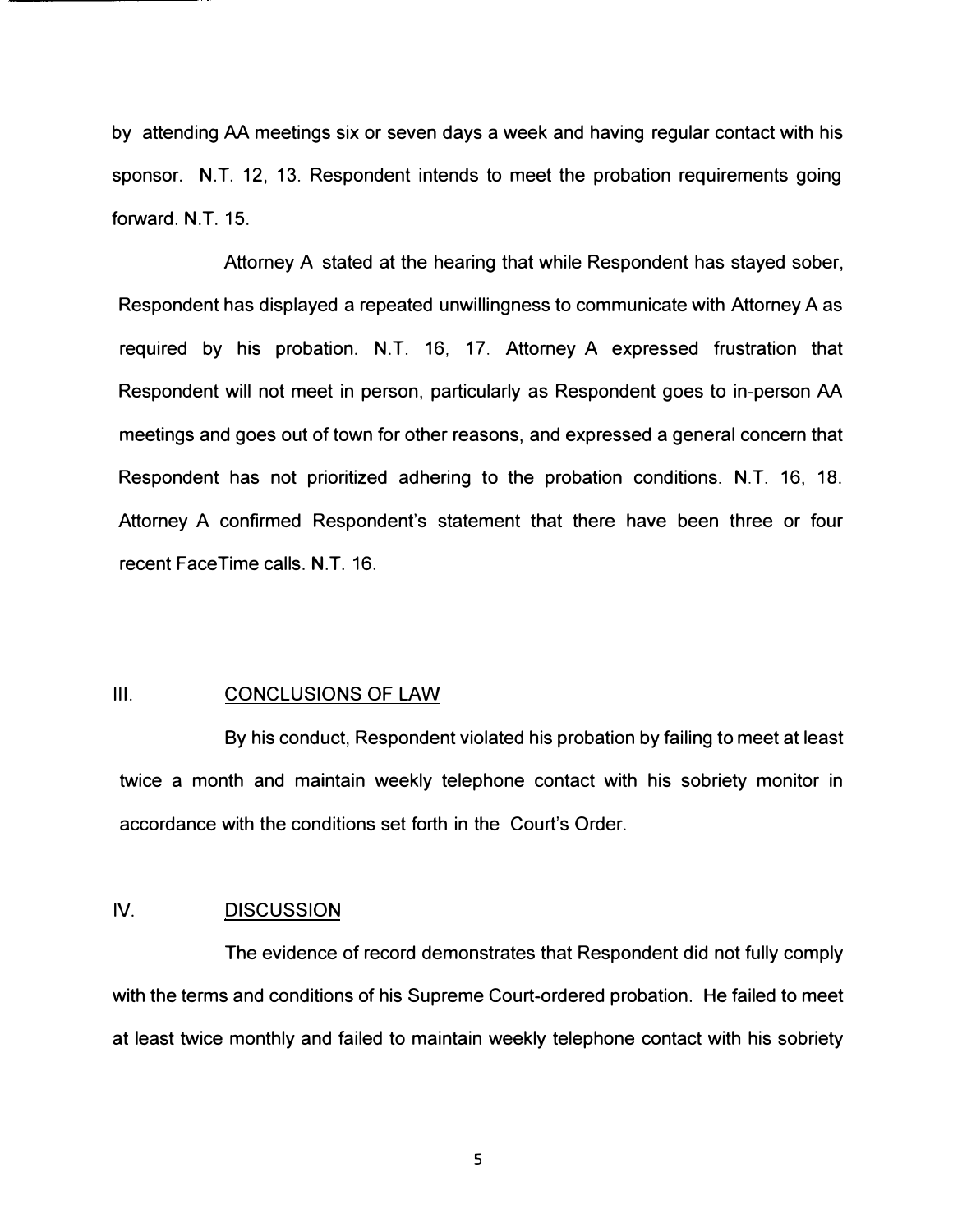by attending AA meetings six or seven days a week and having regular contact with his sponsor. N.T. 12, 13. Respondent intends to meet the probation requirements going forward. N.T. 15.

Attorney A stated at the hearing that while Respondent has stayed sober, Respondent has displayed a repeated unwillingness to communicate with Attorney A as required by his probation. N.T. 16, 17. Attorney A expressed frustration that Respondent will not meet in person, particularly as Respondent goes to in-person AA meetings and goes out of town for other reasons, and expressed a general concern that Respondent has not prioritized adhering to the probation conditions. N.T. 16, 18. Attorney A confirmed Respondent's statement that there have been three or four recent FaceTime calls. N.T. 16.

#### 111. CONCLUSIONS OF LAW

By his conduct, Respondent violated his probation by failing to meet at least twice a month and maintain weekly telephone contact with his sobriety monitor in accordance with the conditions set forth in the Court's Order.

#### IV. DISCUSSION

The evidence of record demonstrates that Respondent did not fully comply with the terms and conditions of his Supreme Court-ordered probation. He failed to meet at least twice monthly and failed to maintain weekly telephone contact with his sobriety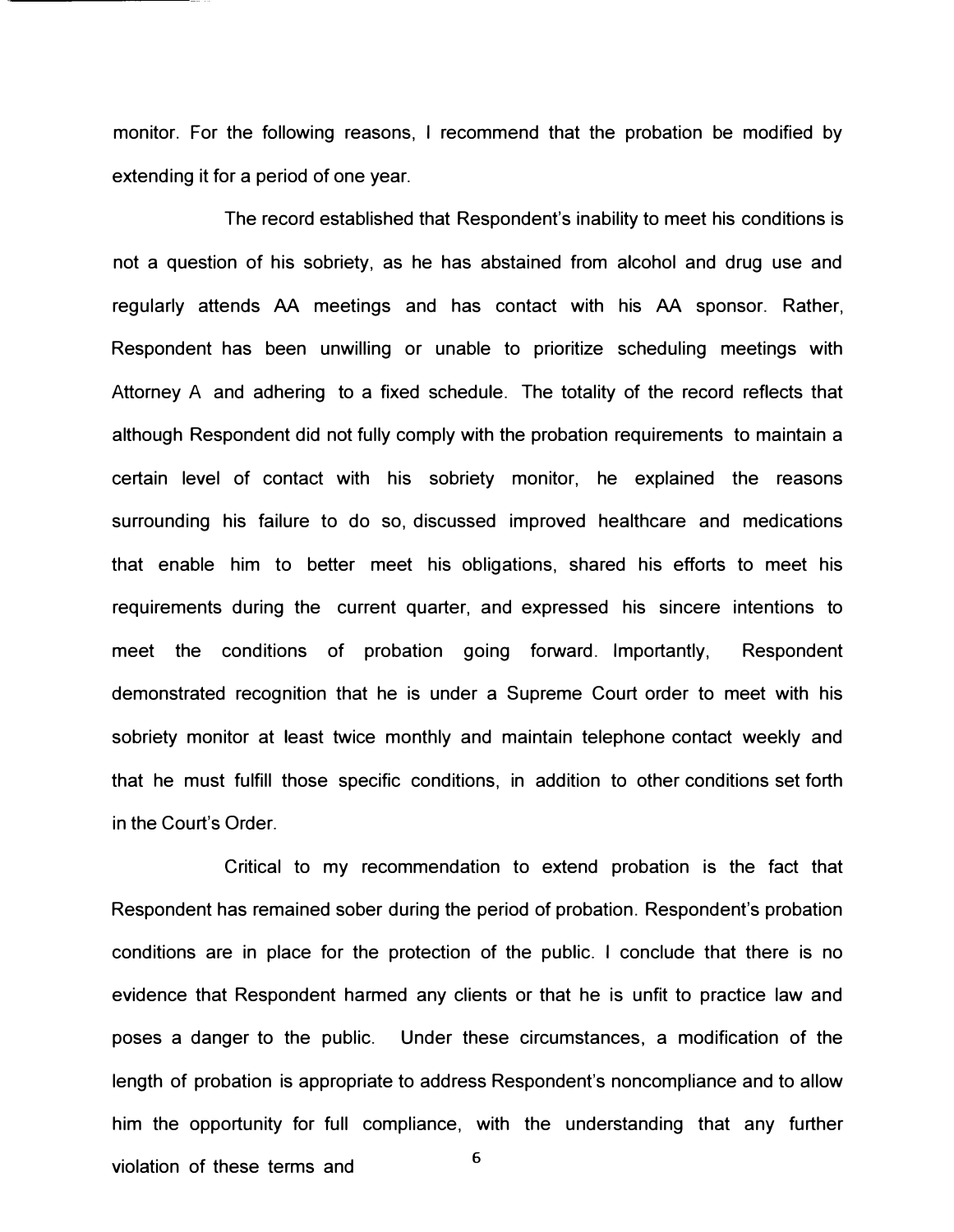monitor. For the following reasons, I recommend that the probation be modified by extending it for a period of one year.

The record established that Respondent's inability to meet his conditions is not a question of his sobriety, as he has abstained from alcohol and drug use and regularly attends AA meetings and has contact with his AA sponsor. Rather, Respondent has been unwilling or unable to prioritize scheduling meetings with Attorney A and adhering to a fixed schedule. The totality of the record reflects that although Respondent did not fully comply with the probation requirements to maintain a certain level of contact with his sobriety monitor, he explained the reasons surrounding his failure to do so, discussed improved healthcare and medications that enable him to better meet his obligations, shared his efforts to meet his requirements during the current quarter, and expressed his sincere intentions to meet the conditions of probation going forward. Importantly, Respondent demonstrated recognition that he is under a Supreme Court order to meet with his sobriety monitor at least twice monthly and maintain telephone contact weekly and that he must fulfill those specific conditions, in addition to other conditions set forth in the Court's Order.

Critical to my recommendation to extend probation is the fact that Respondent has remained sober during the period of probation. Respondent's probation conditions are in place for the protection of the public. I conclude that there is no evidence that Respondent harmed any clients or that he is unfit to practice law and poses a danger to the public. Under these circumstances, a modification of the length of probation is appropriate to address Respondent's noncompliance and to allow him the opportunity for full compliance, with the understanding that any further violation of these terms and  $6<sup>6</sup>$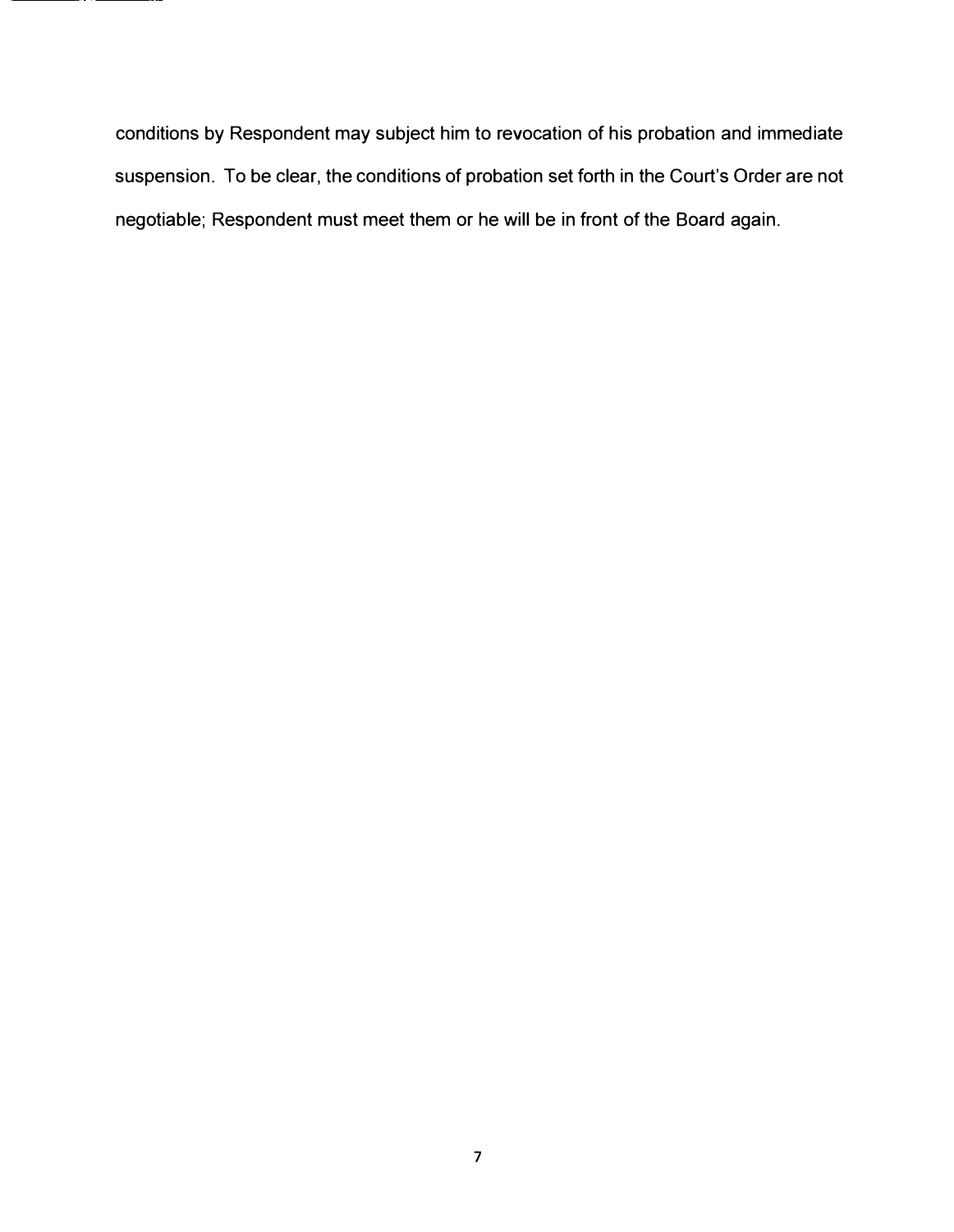conditions by Respondent may subject him to revocation of his probation and immediate suspension. To be clear, the conditions of probation set forth in the Court's Order are not negotiable; Respondent must meet them or he will be in front of the Board again.